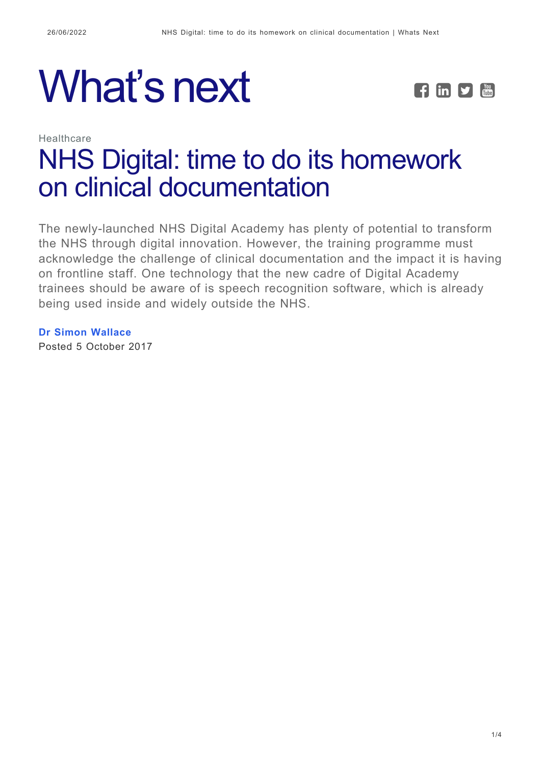



# Healthcare [NHS Digital: time to do its homework](https://whatsnext.nuance.com/en-gb/healthcare/nhs-digital-must-do-clinical-documentation/) [on clinical documentation](https://whatsnext.nuance.com/en-gb/healthcare/nhs-digital-must-do-clinical-documentation/)

The newly-launched NHS Digital Academy has plenty of potential to transform the NHS through digital innovation. However, the training programme must acknowledge the challenge of clinical documentation and the impact it is having on frontline staff. One technology that the new cadre of Digital Academy trainees should be aware of is speech recognition software, which is already being used inside and widely outside the NHS.

**[Dr Simon Wallace](https://whatsnext.nuance.com/en-gb/author/simonwallace/)** Posted 5 October 2017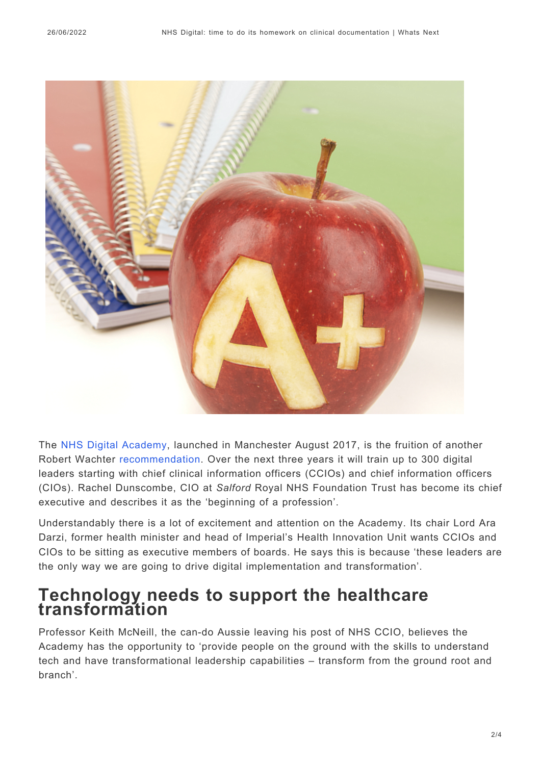

The [NHS Digital Academy,](https://www.digitalhealth.net/2017/09/nhs-digital-academy-officially-launched/) launched in Manchester August 2017, is the fruition of another Robert Wachter [recommendation.](https://www.gov.uk/government/publications/using-information-technology-to-improve-the-nhs) Over the next three years it will train up to 300 digital leaders starting with chief clinical information officers (CCIOs) and chief information officers (CIOs). Rachel Dunscombe, CIO at *Salford* Royal NHS Foundation Trust has become its chief executive and describes it as the 'beginning of a profession'.

Understandably there is a lot of excitement and attention on the Academy. Its chair Lord Ara Darzi, former health minister and head of Imperial's Health Innovation Unit wants CCIOs and CIOs to be sitting as executive members of boards. He says this is because 'these leaders are the only way we are going to drive digital implementation and transformation'.

### **Technology needs to support the healthcare transformation**

Professor Keith McNeill, the can-do Aussie leaving his post of NHS CCIO, believes the Academy has the opportunity to 'provide people on the ground with the skills to understand tech and have transformational leadership capabilities – transform from the ground root and branch'.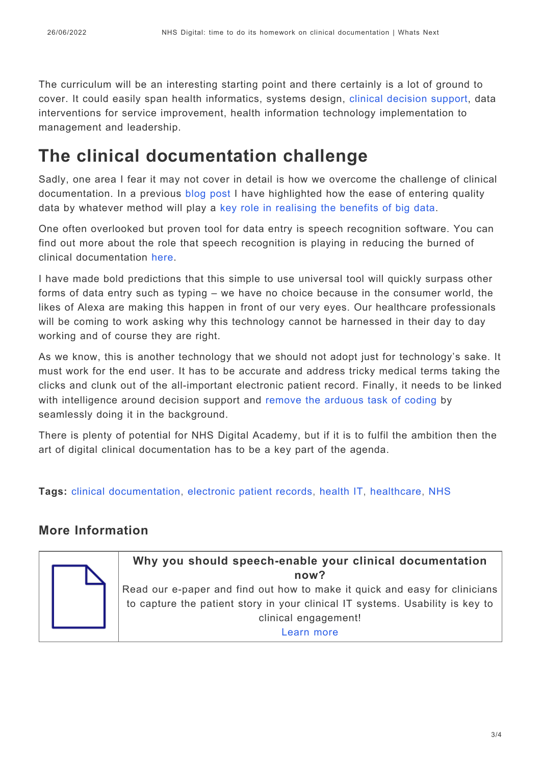The curriculum will be an interesting starting point and there certainly is a lot of ground to cover. It could easily span health informatics, systems design, [clinical decision support](https://whatsnext.nuance.co.uk/healthcare/ai-and-real-time-clinical-decision-support/), data interventions for service improvement, health information technology implementation to management and leadership.

## **The clinical documentation challenge**

Sadly, one area I fear it may not cover in detail is how we overcome the challenge of clinical documentation. In a previous [blog post](http://whatsnext.nuance.co.uk/healthcare/digital-health-ccio-summer-school-highlights-pivotal-role-of-data-in-digitising-nhs/) I have highlighted how the ease of entering quality data by whatever method will play a [key role in realising the benefits of big data](https://whatsnext.nuance.co.uk/healthcare/is-your-data-in/).

One often overlooked but proven tool for data entry is speech recognition software. You can find out more about the role that speech recognition is playing in reducing the burned of clinical documentation [here](http://engage.nuance.co.uk/clinical-documentation-made-easy).

I have made bold predictions that this simple to use universal tool will quickly surpass other forms of data entry such as typing – we have no choice because in the consumer world, the likes of Alexa are making this happen in front of our very eyes. Our healthcare professionals will be coming to work asking why this technology cannot be harnessed in their day to day working and of course they are right.

As we know, this is another technology that we should not adopt just for technology's sake. It must work for the end user. It has to be accurate and address tricky medical terms taking the clicks and clunk out of the all-important electronic patient record. Finally, it needs to be linked with intelligence around decision support and [remove the arduous task of coding](https://whatsnext.nuance.co.uk/healthcare/what-does-snomed-ct-mean-for-big-data-in-healthcare/) by seamlessly doing it in the background.

There is plenty of potential for NHS Digital Academy, but if it is to fulfil the ambition then the art of digital clinical documentation has to be a key part of the agenda.

**Tags:** [clinical documentation,](https://whatsnext.nuance.com/en-gb/tag/clinical-documentation/) [electronic patient records](https://whatsnext.nuance.com/en-gb/tag/electronic-patient-records/), [health IT,](https://whatsnext.nuance.com/en-gb/tag/health-it/) [healthcare](https://whatsnext.nuance.com/en-gb/tag/healthcare/), [NHS](https://whatsnext.nuance.com/en-gb/tag/nhs/)

#### **More Information**